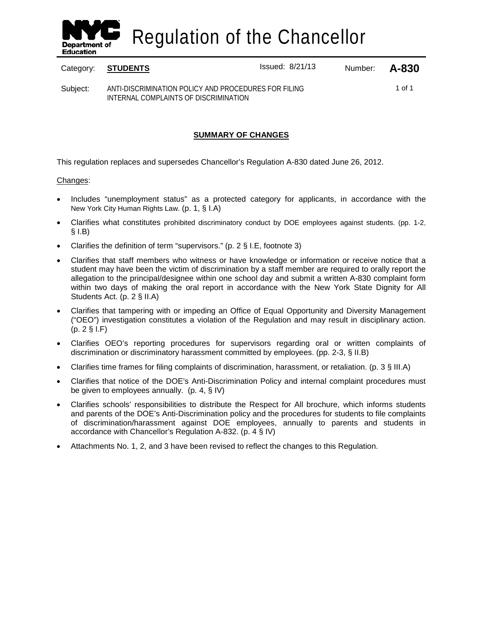

Regulation of the Chancellor

Category: **STUDENTS ISSUED:** Issued: 8/21/13 Number: **A-830** 

1 of 1

Subject: ANTI-DISCRIMINATION POLICY AND PROCEDURES FOR FILING INTERNAL COMPLAINTS OF DISCRIMINATION

# **SUMMARY OF CHANGES**

This regulation replaces and supersedes Chancellor's Regulation A-830 dated June 26, 2012.

# Changes:

- Includes "unemployment status" as a protected category for applicants, in accordance with the New York City Human Rights Law. (p. 1, § I.A)
- Clarifies what constitutes prohibited discriminatory conduct by DOE employees against students. (pp. 1-2,  $§$  I.B)
- Clarifies the definition of term "supervisors." (p. 2 § I.E, footnote 3)
- Clarifies that staff members who witness or have knowledge or information or receive notice that a student may have been the victim of discrimination by a staff member are required to orally report the allegation to the principal/designee within one school day and submit a written A-830 complaint form within two days of making the oral report in accordance with the New York State Dignity for All Students Act. (p. 2 § II.A)
- Clarifies that tampering with or impeding an Office of Equal Opportunity and Diversity Management ("OEO") investigation constitutes a violation of the Regulation and may result in disciplinary action. (p. 2 § I.F)
- Clarifies OEO's reporting procedures for supervisors regarding oral or written complaints of discrimination or discriminatory harassment committed by employees. (pp. 2-3, § II.B)
- Clarifies time frames for filing complaints of discrimination, harassment, or retaliation. (p. 3 § III.A)
- Clarifies that notice of the DOE's Anti-Discrimination Policy and internal complaint procedures must be given to employees annually. (p. 4, § IV)
- Clarifies schools' responsibilities to distribute the Respect for All brochure, which informs students and parents of the DOE's Anti-Discrimination policy and the procedures for students to file complaints of discrimination/harassment against DOE employees, annually to parents and students in accordance with Chancellor's Regulation A-832. (p. 4 § IV)
- Attachments No. 1, 2, and 3 have been revised to reflect the changes to this Regulation.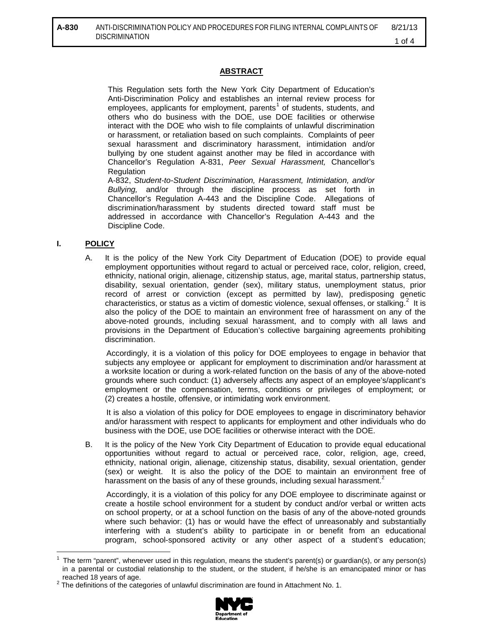# **ABSTRACT**

This Regulation sets forth the New York City Department of Education's Anti-Discrimination Policy and establishes an internal review process for employees, applicants for employment, parents<sup>[1](#page-1-0)</sup> of students, students, and others who do business with the DOE, use DOE facilities or otherwise interact with the DOE who wish to file complaints of unlawful discrimination or harassment, or retaliation based on such complaints. Complaints of peer sexual harassment and discriminatory harassment, intimidation and/or bullying by one student against another may be filed in accordance with Chancellor's Regulation A-831, *Peer Sexual Harassment,* Chancellor's **Regulation** 

A-832, *Student-to-Student Discrimination, Harassment, Intimidation, and/or Bullying,* and/or through the discipline process as set forth in Chancellor's Regulation A-443 and the Discipline Code. Allegations of discrimination/harassment by students directed toward staff must be addressed in accordance with Chancellor's Regulation A-443 and the Discipline Code.

### **I. POLICY**

 $\overline{a}$ 

A. It is the policy of the New York City Department of Education (DOE) to provide equal employment opportunities without regard to actual or perceived race, color, religion, creed, ethnicity, national origin, alienage, citizenship status, age, marital status, partnership status, disability, sexual orientation, gender (sex), military status, unemployment status, prior record of arrest or conviction (except as permitted by law), predisposing genetic characteristics, or status as a victim of domestic violence, sexual offenses, or stalking.<sup>[2](#page-1-1)</sup> It is also the policy of the DOE to maintain an environment free of harassment on any of the above-noted grounds, including sexual harassment, and to comply with all laws and provisions in the Department of Education's collective bargaining agreements prohibiting discrimination.

Accordingly, it is a violation of this policy for DOE employees to engage in behavior that subjects any employee or applicant for employment to discrimination and/or harassment at a worksite location or during a work-related function on the basis of any of the above-noted grounds where such conduct: (1) adversely affects any aspect of an employee's/applicant's employment or the compensation, terms, conditions or privileges of employment; or (2) creates a hostile, offensive, or intimidating work environment.

It is also a violation of this policy for DOE employees to engage in discriminatory behavior and/or harassment with respect to applicants for employment and other individuals who do business with the DOE, use DOE facilities or otherwise interact with the DOE.

B. It is the policy of the New York City Department of Education to provide equal educational opportunities without regard to actual or perceived race, color, religion, age, creed, ethnicity, national origin, alienage, citizenship status, disability, sexual orientation, gender (sex) or weight. It is also the policy of the DOE to maintain an environment free of harassment on the basis of any of these grounds, including sexual harassment.<sup>2</sup>

Accordingly, it is a violation of this policy for any DOE employee to discriminate against or create a hostile school environment for a student by conduct and/or verbal or written acts on school property, or at a school function on the basis of any of the above-noted grounds where such behavior: (1) has or would have the effect of unreasonably and substantially interfering with a student's ability to participate in or benefit from an educational program, school-sponsored activity or any other aspect of a student's education;

<span id="page-1-1"></span> $2$  The definitions of the categories of unlawful discrimination are found in Attachment No. 1.



<span id="page-1-0"></span><sup>1</sup> The term "parent", whenever used in this regulation, means the student's parent(s) or guardian(s), or any person(s) in a parental or custodial relationship to the student, or the student, if he/she is an emancipated minor or has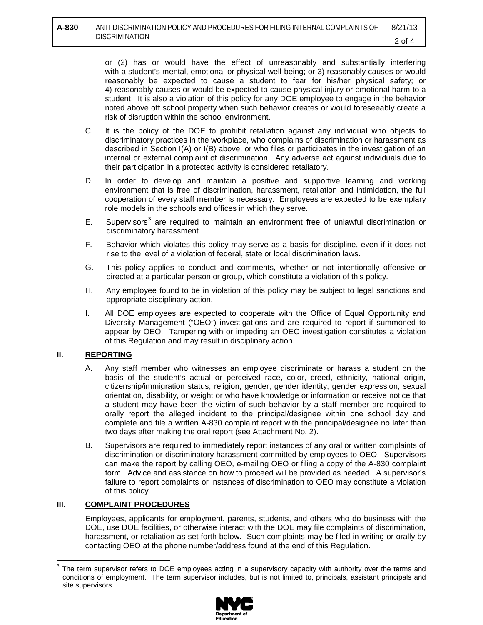or (2) has or would have the effect of unreasonably and substantially interfering with a student's mental, emotional or physical well-being; or 3) reasonably causes or would reasonably be expected to cause a student to fear for his/her physical safety; or 4) reasonably causes or would be expected to cause physical injury or emotional harm to a student. It is also a violation of this policy for any DOE employee to engage in the behavior noted above off school property when such behavior creates or would foreseeably create a risk of disruption within the school environment.

- C. It is the policy of the DOE to prohibit retaliation against any individual who objects to discriminatory practices in the workplace, who complains of discrimination or harassment as described in Section I(A) or I(B) above, or who files or participates in the investigation of an internal or external complaint of discrimination. Any adverse act against individuals due to their participation in a protected activity is considered retaliatory.
- D. In order to develop and maintain a positive and supportive learning and working environment that is free of discrimination, harassment, retaliation and intimidation, the full cooperation of every staff member is necessary. Employees are expected to be exemplary role models in the schools and offices in which they serve.
- E. Supervisors<sup>[3](#page-2-0)</sup> are required to maintain an environment free of unlawful discrimination or discriminatory harassment.
- F. Behavior which violates this policy may serve as a basis for discipline, even if it does not rise to the level of a violation of federal, state or local discrimination laws.
- G. This policy applies to conduct and comments, whether or not intentionally offensive or directed at a particular person or group, which constitute a violation of this policy.
- H. Any employee found to be in violation of this policy may be subject to legal sanctions and appropriate disciplinary action.
- I. All DOE employees are expected to cooperate with the Office of Equal Opportunity and Diversity Management ("OEO") investigations and are required to report if summoned to appear by OEO. Tampering with or impeding an OEO investigation constitutes a violation of this Regulation and may result in disciplinary action.

# **II. REPORTING**

- A. Any staff member who witnesses an employee discriminate or harass a student on the basis of the student's actual or perceived race, color, creed, ethnicity, national origin, citizenship/immigration status, religion, gender, gender identity, gender expression, sexual orientation, disability, or weight or who have knowledge or information or receive notice that a student may have been the victim of such behavior by a staff member are required to orally report the alleged incident to the principal/designee within one school day and complete and file a written A-830 complaint report with the principal/designee no later than two days after making the oral report (see Attachment No. 2).
- B. Supervisors are required to immediately report instances of any oral or written complaints of discrimination or discriminatory harassment committed by employees to OEO. Supervisors can make the report by calling OEO, e-mailing OEO or filing a copy of the A-830 complaint form. Advice and assistance on how to proceed will be provided as needed. A supervisor's failure to report complaints or instances of discrimination to OEO may constitute a violation of this policy.

# **III. COMPLAINT PROCEDURES**

 $\overline{a}$ 

Employees, applicants for employment, parents, students, and others who do business with the DOE, use DOE facilities, or otherwise interact with the DOE may file complaints of discrimination, harassment, or retaliation as set forth below. Such complaints may be filed in writing or orally by contacting OEO at the phone number/address found at the end of this Regulation.

<span id="page-2-0"></span> $3$  The term supervisor refers to DOE employees acting in a supervisory capacity with authority over the terms and conditions of employment. The term supervisor includes, but is not limited to, principals, assistant principals and site supervisors.

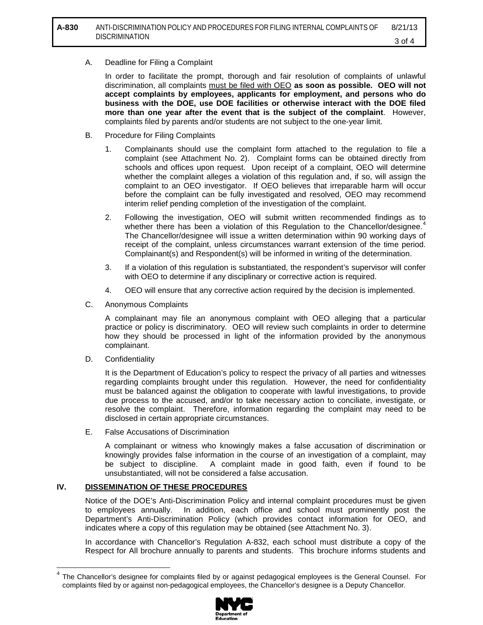#### A. Deadline for Filing a Complaint

In order to facilitate the prompt, thorough and fair resolution of complaints of unlawful discrimination, all complaints must be filed with OEO **as soon as possible. OEO will not accept complaints by employees, applicants for employment, and persons who do business with the DOE, use DOE facilities or otherwise interact with the DOE filed more than one year after the event that is the subject of the complaint**. However, complaints filed by parents and/or students are not subject to the one-year limit.

- B. Procedure for Filing Complaints
	- 1. Complainants should use the complaint form attached to the regulation to file a complaint (see Attachment No. 2). Complaint forms can be obtained directly from schools and offices upon request. Upon receipt of a complaint, OEO will determine whether the complaint alleges a violation of this regulation and, if so, will assign the complaint to an OEO investigator. If OEO believes that irreparable harm will occur before the complaint can be fully investigated and resolved, OEO may recommend interim relief pending completion of the investigation of the complaint.
	- 2. Following the investigation, OEO will submit written recommended findings as to whether there has been a violation of this Regulation to the Chancellor/designee.<sup>[4](#page-3-0)</sup> The Chancellor/designee will issue a written determination within 90 working days of receipt of the complaint, unless circumstances warrant extension of the time period. Complainant(s) and Respondent(s) will be informed in writing of the determination.
	- 3. If a violation of this regulation is substantiated, the respondent's supervisor will confer with OEO to determine if any disciplinary or corrective action is required.
	- 4. OEO will ensure that any corrective action required by the decision is implemented.
- C. Anonymous Complaints

A complainant may file an anonymous complaint with OEO alleging that a particular practice or policy is discriminatory. OEO will review such complaints in order to determine how they should be processed in light of the information provided by the anonymous complainant.

D. Confidentiality

 $\overline{\phantom{a}}$ 

It is the Department of Education's policy to respect the privacy of all parties and witnesses regarding complaints brought under this regulation. However, the need for confidentiality must be balanced against the obligation to cooperate with lawful investigations, to provide due process to the accused, and/or to take necessary action to conciliate, investigate, or resolve the complaint. Therefore, information regarding the complaint may need to be disclosed in certain appropriate circumstances.

E. False Accusations of Discrimination

A complainant or witness who knowingly makes a false accusation of discrimination or knowingly provides false information in the course of an investigation of a complaint, may be subject to discipline. A complaint made in good faith, even if found to be unsubstantiated, will not be considered a false accusation.

# **IV. DISSEMINATION OF THESE PROCEDURES**

Notice of the DOE's Anti-Discrimination Policy and internal complaint procedures must be given to employees annually. In addition, each office and school must prominently post the Department's Anti-Discrimination Policy (which provides contact information for OEO, and indicates where a copy of this regulation may be obtained (see Attachment No. 3).

In accordance with Chancellor's Regulation A-832, each school must distribute a copy of the Respect for All brochure annually to parents and students. This brochure informs students and

<span id="page-3-0"></span> $<sup>4</sup>$  The Chancellor's designee for complaints filed by or against pedagogical employees is the General Counsel. For</sup> complaints filed by or against non-pedagogical employees, the Chancellor's designee is a Deputy Chancellor.

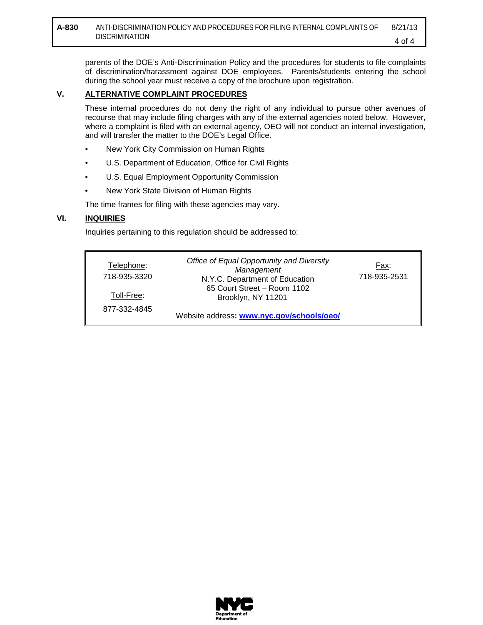parents of the DOE's Anti-Discrimination Policy and the procedures for students to file complaints of discrimination/harassment against DOE employees. Parents/students entering the school during the school year must receive a copy of the brochure upon registration.

# **V. ALTERNATIVE COMPLAINT PROCEDURES**

These internal procedures do not deny the right of any individual to pursue other avenues of recourse that may include filing charges with any of the external agencies noted below. However, where a complaint is filed with an external agency, OEO will not conduct an internal investigation, and will transfer the matter to the DOE's Legal Office.

- New York City Commission on Human Rights
- U.S. Department of Education, Office for Civil Rights
- U.S. Equal Employment Opportunity Commission
- New York State Division of Human Rights

The time frames for filing with these agencies may vary.

# **VI. INQUIRIES**

Inquiries pertaining to this regulation should be addressed to:

| Telephone:<br>718-935-3320 | Office of Equal Opportunity and Diversity<br>Management<br>N.Y.C. Department of Education | Fax:<br>718-935-2531 |
|----------------------------|-------------------------------------------------------------------------------------------|----------------------|
| Toll-Free:                 | 65 Court Street - Room 1102<br>Brooklyn, NY 11201                                         |                      |
| 877-332-4845               | Website address: www.nyc.gov/schools/oeo/                                                 |                      |

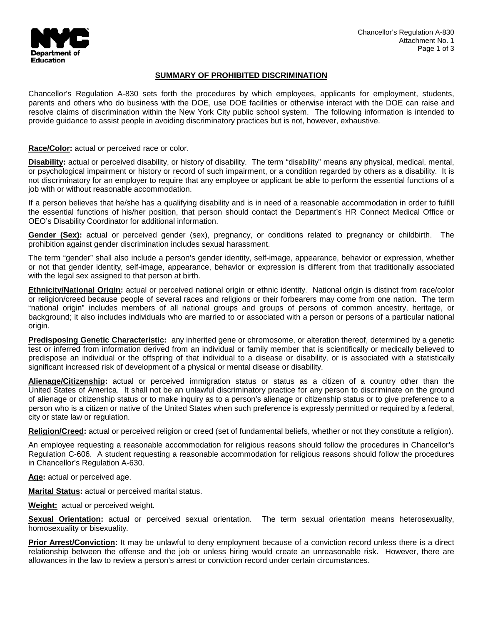

# **SUMMARY OF PROHIBITED DISCRIMINATION**

Chancellor's Regulation A-830 sets forth the procedures by which employees, applicants for employment, students, parents and others who do business with the DOE, use DOE facilities or otherwise interact with the DOE can raise and resolve claims of discrimination within the New York City public school system. The following information is intended to provide guidance to assist people in avoiding discriminatory practices but is not, however, exhaustive.

#### **Race/Color:** actual or perceived race or color.

**Disability:** actual or perceived disability, or history of disability. The term "disability" means any physical, medical, mental, or psychological impairment or history or record of such impairment, or a condition regarded by others as a disability. It is not discriminatory for an employer to require that any employee or applicant be able to perform the essential functions of a job with or without reasonable accommodation.

If a person believes that he/she has a qualifying disability and is in need of a reasonable accommodation in order to fulfill the essential functions of his/her position, that person should contact the Department's HR Connect Medical Office or OEO's Disability Coordinator for additional information.

**Gender (Sex):** actual or perceived gender (sex), pregnancy, or conditions related to pregnancy or childbirth. The prohibition against gender discrimination includes sexual harassment.

The term "gender" shall also include a person's gender identity, self-image, appearance, behavior or expression, whether or not that gender identity, self-image, appearance, behavior or expression is different from that traditionally associated with the legal sex assigned to that person at birth.

**Ethnicity/National Origin:** actual or perceived national origin or ethnic identity. National origin is distinct from race/color or religion/creed because people of several races and religions or their forbearers may come from one nation. The term "national origin" includes members of all national groups and groups of persons of common ancestry, heritage, or background; it also includes individuals who are married to or associated with a person or persons of a particular national origin.

**Predisposing Genetic Characteristic:** any inherited gene or chromosome, or alteration thereof, determined by a genetic test or inferred from information derived from an individual or family member that is scientifically or medically believed to predispose an individual or the offspring of that individual to a disease or disability, or is associated with a statistically significant increased risk of development of a physical or mental disease or disability.

**Alienage/Citizenship:** actual or perceived immigration status or status as a citizen of a country other than the United States of America. It shall not be an unlawful discriminatory practice for any person to discriminate on the ground of alienage or citizenship status or to make inquiry as to a person's alienage or citizenship status or to give preference to a person who is a citizen or native of the United States when such preference is expressly permitted or required by a federal, city or state law or regulation.

**Religion/Creed:** actual or perceived religion or creed (set of fundamental beliefs, whether or not they constitute a religion).

An employee requesting a reasonable accommodation for religious reasons should follow the procedures in Chancellor's Regulation C-606. A student requesting a reasonable accommodation for religious reasons should follow the procedures in Chancellor's Regulation A-630.

**Age:** actual or perceived age.

**Marital Status:** actual or perceived marital status.

**Weight:** actual or perceived weight.

**Sexual Orientation:** actual or perceived sexual orientation. The term sexual orientation means heterosexuality, homosexuality or bisexuality.

**Prior Arrest/Conviction:** It may be unlawful to deny employment because of a conviction record unless there is a direct relationship between the offense and the job or unless hiring would create an unreasonable risk. However, there are allowances in the law to review a person's arrest or conviction record under certain circumstances.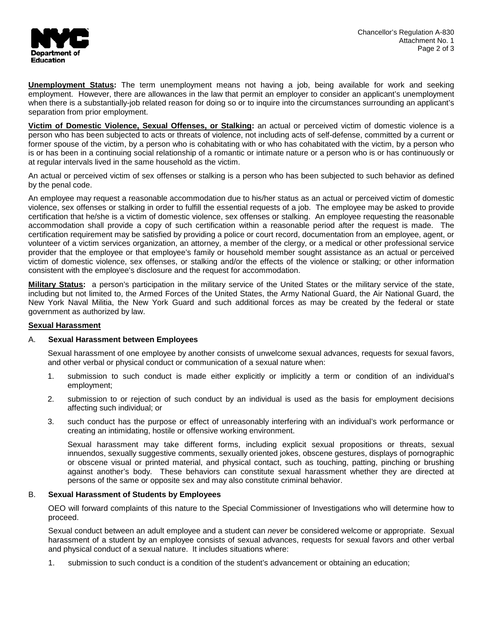

**Unemployment Status:** The term unemployment means not having a job, being available for work and seeking employment. However, there are allowances in the law that permit an employer to consider an applicant's unemployment when there is a substantially-job related reason for doing so or to inquire into the circumstances surrounding an applicant's separation from prior employment.

**Victim of Domestic Violence, Sexual Offenses, or Stalking:** an actual or perceived victim of domestic violence is a person who has been subjected to acts or threats of violence, not including acts of self-defense, committed by a current or former spouse of the victim, by a person who is cohabitating with or who has cohabitated with the victim, by a person who is or has been in a continuing social relationship of a romantic or intimate nature or a person who is or has continuously or at regular intervals lived in the same household as the victim.

An actual or perceived victim of sex offenses or stalking is a person who has been subjected to such behavior as defined by the penal code.

An employee may request a reasonable accommodation due to his/her status as an actual or perceived victim of domestic violence, sex offenses or stalking in order to fulfill the essential requests of a job. The employee may be asked to provide certification that he/she is a victim of domestic violence, sex offenses or stalking. An employee requesting the reasonable accommodation shall provide a copy of such certification within a reasonable period after the request is made. The certification requirement may be satisfied by providing a police or court record, documentation from an employee, agent, or volunteer of a victim services organization, an attorney, a member of the clergy, or a medical or other professional service provider that the employee or that employee's family or household member sought assistance as an actual or perceived victim of domestic violence, sex offenses, or stalking and/or the effects of the violence or stalking; or other information consistent with the employee's disclosure and the request for accommodation.

**Military Status:** a person's participation in the military service of the United States or the military service of the state, including but not limited to, the Armed Forces of the United States, the Army National Guard, the Air National Guard, the New York Naval Militia, the New York Guard and such additional forces as may be created by the federal or state government as authorized by law.

#### **Sexual Harassment**

#### A. **Sexual Harassment between Employees**

Sexual harassment of one employee by another consists of unwelcome sexual advances, requests for sexual favors, and other verbal or physical conduct or communication of a sexual nature when:

- 1. submission to such conduct is made either explicitly or implicitly a term or condition of an individual's employment;
- 2. submission to or rejection of such conduct by an individual is used as the basis for employment decisions affecting such individual; or
- 3. such conduct has the purpose or effect of unreasonably interfering with an individual's work performance or creating an intimidating, hostile or offensive working environment.

Sexual harassment may take different forms, including explicit sexual propositions or threats, sexual innuendos, sexually suggestive comments, sexually oriented jokes, obscene gestures, displays of pornographic or obscene visual or printed material, and physical contact, such as touching, patting, pinching or brushing against another's body. These behaviors can constitute sexual harassment whether they are directed at persons of the same or opposite sex and may also constitute criminal behavior.

#### B. **Sexual Harassment of Students by Employees**

OEO will forward complaints of this nature to the Special Commissioner of Investigations who will determine how to proceed.

Sexual conduct between an adult employee and a student can *never* be considered welcome or appropriate. Sexual harassment of a student by an employee consists of sexual advances, requests for sexual favors and other verbal and physical conduct of a sexual nature. It includes situations where:

1. submission to such conduct is a condition of the student's advancement or obtaining an education;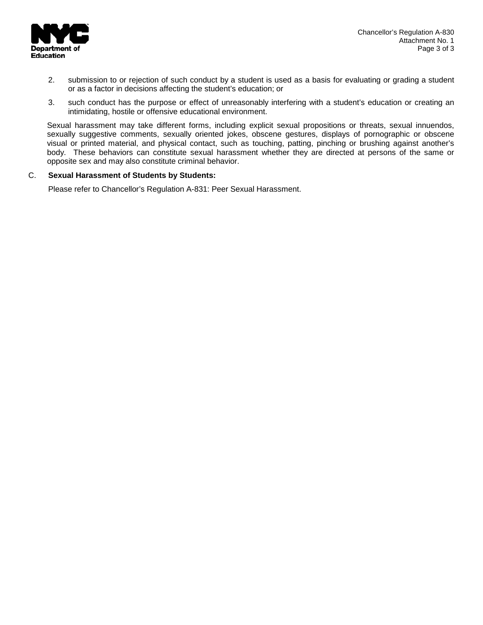

- 2. submission to or rejection of such conduct by a student is used as a basis for evaluating or grading a student or as a factor in decisions affecting the student's education; or
- 3. such conduct has the purpose or effect of unreasonably interfering with a student's education or creating an intimidating, hostile or offensive educational environment.

Sexual harassment may take different forms, including explicit sexual propositions or threats, sexual innuendos, sexually suggestive comments, sexually oriented jokes, obscene gestures, displays of pornographic or obscene visual or printed material, and physical contact, such as touching, patting, pinching or brushing against another's body. These behaviors can constitute sexual harassment whether they are directed at persons of the same or opposite sex and may also constitute criminal behavior.

#### C. **Sexual Harassment of Students by Students:**

Please refer to Chancellor's Regulation A-831: Peer Sexual Harassment.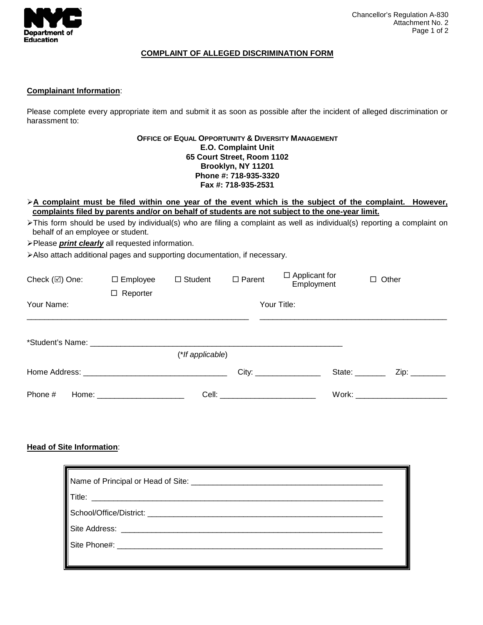

#### **COMPLAINT OF ALLEGED DISCRIMINATION FORM**

### **Complainant Information**:

Please complete every appropriate item and submit it as soon as possible after the incident of alleged discrimination or harassment to:

#### **OFFICE OF EQUAL OPPORTUNITY & DIVERSITY MANAGEMENT E.O. Complaint Unit 65 Court Street, Room 1102 Brooklyn, NY 11201 Phone #: 718-935-3320 Fax #: 718-935-2531**

- **A complaint must be filed within one year of the event which is the subject of the complaint. However, complaints filed by parents and/or on behalf of students are not subject to the one-year limit.**
- This form should be used by individual(s) who are filing a complaint as well as individual(s) reporting a complaint on behalf of an employee or student.
- Please *print clearly* all requested information.
- Also attach additional pages and supporting documentation, if necessary.

| Check $(\boxtimes)$ One:  | $\Box$ Employee<br>$\Box$ Reporter | $\Box$ Student      | $\Box$ Parent | $\Box$ Applicant for<br>Employment |                | $\Box$ Other |
|---------------------------|------------------------------------|---------------------|---------------|------------------------------------|----------------|--------------|
| Your Title:<br>Your Name: |                                    |                     |               |                                    |                |              |
|                           |                                    | $(*$ If applicable) |               |                                    |                |              |
|                           |                                    |                     |               | City:                              | State: _______ | Zip:         |
| Phone #                   | Home: __________________________   |                     |               |                                    |                |              |

# **Head of Site Information**:

| Name of Principal or Head of Site: _________ |  |  |  |  |
|----------------------------------------------|--|--|--|--|
| $\mathsf{T}$ itle:                           |  |  |  |  |
| School/Office/District: __________           |  |  |  |  |
|                                              |  |  |  |  |
| Site Phone#: _________                       |  |  |  |  |
|                                              |  |  |  |  |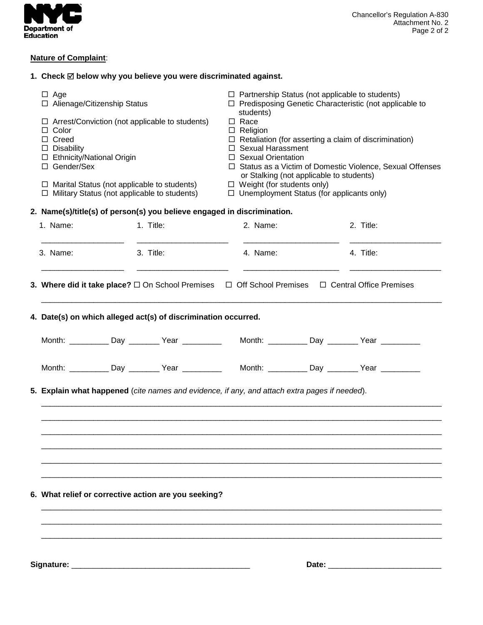

# **Nature of Complaint**:

|                                                                                                                                                      | 1. Check ⊠ below why you believe you were discriminated against.                                                         |                                                                                                                                                                                                                                                                           |                                                                                       |       |           |
|------------------------------------------------------------------------------------------------------------------------------------------------------|--------------------------------------------------------------------------------------------------------------------------|---------------------------------------------------------------------------------------------------------------------------------------------------------------------------------------------------------------------------------------------------------------------------|---------------------------------------------------------------------------------------|-------|-----------|
| $\Box$ Age<br>□ Alienage/Citizenship Status                                                                                                          |                                                                                                                          | $\Box$ Partnership Status (not applicable to students)<br>$\Box$ Predisposing Genetic Characteristic (not applicable to                                                                                                                                                   |                                                                                       |       |           |
| $\Box$ Arrest/Conviction (not applicable to students)<br>$\Box$ Color<br>□ Creed<br>$\Box$ Disability<br>□ Ethnicity/National Origin<br>□ Gender/Sex |                                                                                                                          | students)<br>$\Box$ Race<br>$\Box$ Religion<br>$\Box$ Retaliation (for asserting a claim of discrimination)<br>□ Sexual Harassment<br>$\Box$ Sexual Orientation<br>□ Status as a Victim of Domestic Violence, Sexual Offenses<br>or Stalking (not applicable to students) |                                                                                       |       |           |
| $\Box$ Marital Status (not applicable to students)<br>$\Box$ Military Status (not applicable to students)                                            |                                                                                                                          |                                                                                                                                                                                                                                                                           | $\Box$ Weight (for students only)<br>$\Box$ Unemployment Status (for applicants only) |       |           |
|                                                                                                                                                      | 2. Name(s)/title(s) of person(s) you believe engaged in discrimination.                                                  |                                                                                                                                                                                                                                                                           |                                                                                       |       |           |
| 1. Name:                                                                                                                                             | 1. Title:                                                                                                                |                                                                                                                                                                                                                                                                           | 2. Name:                                                                              |       | 2. Title: |
| 3. Name:                                                                                                                                             | 3. Title:                                                                                                                |                                                                                                                                                                                                                                                                           | 4. Name:                                                                              |       | 4. Title: |
|                                                                                                                                                      | 3. Where did it take place? $\square$ On School Premises $\square$ Off School Premises $\square$ Central Office Premises |                                                                                                                                                                                                                                                                           |                                                                                       |       |           |
|                                                                                                                                                      | 4. Date(s) on which alleged act(s) of discrimination occurred.                                                           |                                                                                                                                                                                                                                                                           |                                                                                       |       |           |
|                                                                                                                                                      | Month: ____________Day _________ Year _____________  Month: __________Day ________ Year __________                       |                                                                                                                                                                                                                                                                           |                                                                                       |       |           |
|                                                                                                                                                      |                                                                                                                          |                                                                                                                                                                                                                                                                           |                                                                                       |       |           |
|                                                                                                                                                      | 5. Explain what happened (cite names and evidence, if any, and attach extra pages if needed).                            |                                                                                                                                                                                                                                                                           |                                                                                       |       |           |
|                                                                                                                                                      |                                                                                                                          |                                                                                                                                                                                                                                                                           |                                                                                       |       |           |
|                                                                                                                                                      |                                                                                                                          |                                                                                                                                                                                                                                                                           |                                                                                       |       |           |
| 6. What relief or corrective action are you seeking?                                                                                                 |                                                                                                                          |                                                                                                                                                                                                                                                                           |                                                                                       |       |           |
|                                                                                                                                                      |                                                                                                                          |                                                                                                                                                                                                                                                                           |                                                                                       |       |           |
| Signature: __                                                                                                                                        |                                                                                                                          |                                                                                                                                                                                                                                                                           |                                                                                       | Date: |           |